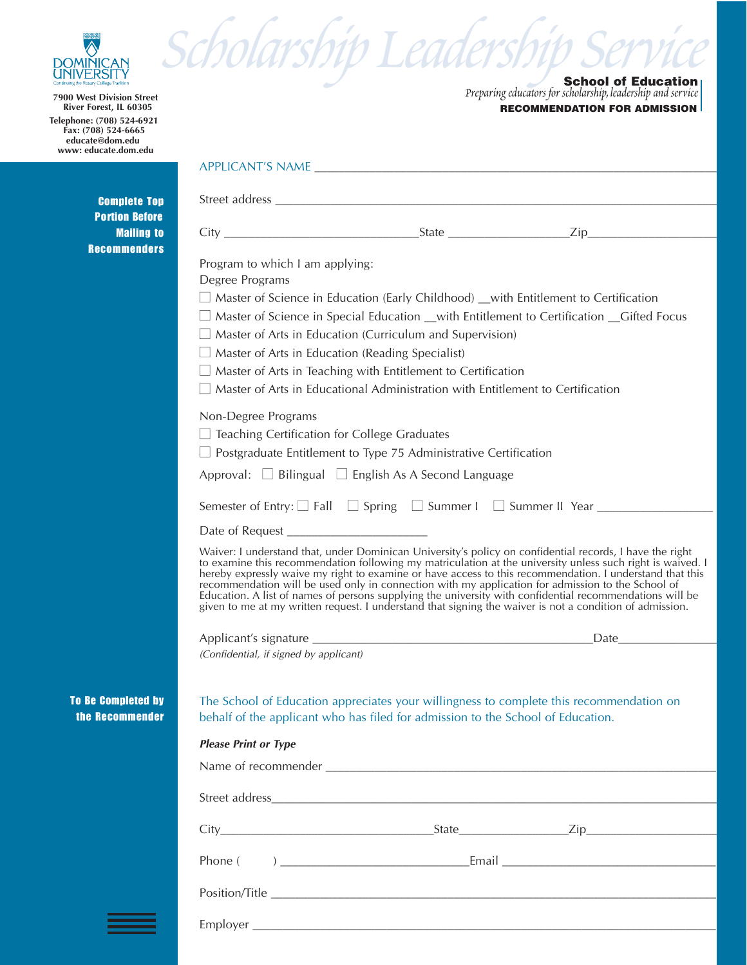

**7900 West Division Street River Forest, IL 60305 Telephone: (708) 524-6921 Fax: (708) 524-6665 educ**  $WWW$ :

| IX; \/U0) J4+000J<br>ducate@dom.edu<br>w: educate.dom.edu |                                                                                                                                                                                                                                                                                                                                                                                                                                                                                                                                                                                                                                                                 |
|-----------------------------------------------------------|-----------------------------------------------------------------------------------------------------------------------------------------------------------------------------------------------------------------------------------------------------------------------------------------------------------------------------------------------------------------------------------------------------------------------------------------------------------------------------------------------------------------------------------------------------------------------------------------------------------------------------------------------------------------|
|                                                           | APPLICANT'S NAME AND ANNOUNCEMENT OF A SERIES OF A SERIES OF A SERIES OF A SERIES OF A SERIES OF A SERIES OF A                                                                                                                                                                                                                                                                                                                                                                                                                                                                                                                                                  |
| <b>Complete Top</b>                                       |                                                                                                                                                                                                                                                                                                                                                                                                                                                                                                                                                                                                                                                                 |
| <b>Portion Before</b>                                     |                                                                                                                                                                                                                                                                                                                                                                                                                                                                                                                                                                                                                                                                 |
| <b>Mailing to</b>                                         |                                                                                                                                                                                                                                                                                                                                                                                                                                                                                                                                                                                                                                                                 |
| <b>Recommenders</b>                                       |                                                                                                                                                                                                                                                                                                                                                                                                                                                                                                                                                                                                                                                                 |
|                                                           | Program to which I am applying:<br>Degree Programs                                                                                                                                                                                                                                                                                                                                                                                                                                                                                                                                                                                                              |
|                                                           | $\Box$ Master of Science in Education (Early Childhood) $\Box$ with Entitlement to Certification                                                                                                                                                                                                                                                                                                                                                                                                                                                                                                                                                                |
|                                                           | $\Box$ Master of Science in Special Education $\Box$ with Entitlement to Certification $\Box$ Gifted Focus                                                                                                                                                                                                                                                                                                                                                                                                                                                                                                                                                      |
|                                                           | $\Box$ Master of Arts in Education (Curriculum and Supervision)                                                                                                                                                                                                                                                                                                                                                                                                                                                                                                                                                                                                 |
|                                                           | $\Box$ Master of Arts in Education (Reading Specialist)                                                                                                                                                                                                                                                                                                                                                                                                                                                                                                                                                                                                         |
|                                                           | $\Box$ Master of Arts in Teaching with Entitlement to Certification                                                                                                                                                                                                                                                                                                                                                                                                                                                                                                                                                                                             |
|                                                           | $\Box$ Master of Arts in Educational Administration with Entitlement to Certification                                                                                                                                                                                                                                                                                                                                                                                                                                                                                                                                                                           |
|                                                           | Non-Degree Programs                                                                                                                                                                                                                                                                                                                                                                                                                                                                                                                                                                                                                                             |
|                                                           | $\Box$ Teaching Certification for College Graduates                                                                                                                                                                                                                                                                                                                                                                                                                                                                                                                                                                                                             |
|                                                           | $\Box$ Postgraduate Entitlement to Type 75 Administrative Certification                                                                                                                                                                                                                                                                                                                                                                                                                                                                                                                                                                                         |
|                                                           | Approval: $\Box$ Bilingual $\Box$ English As A Second Language                                                                                                                                                                                                                                                                                                                                                                                                                                                                                                                                                                                                  |
|                                                           | Semester of Entry: $\Box$ Fall $\Box$ Spring $\Box$ Summer I $\Box$ Summer II Year $\Box$                                                                                                                                                                                                                                                                                                                                                                                                                                                                                                                                                                       |
|                                                           |                                                                                                                                                                                                                                                                                                                                                                                                                                                                                                                                                                                                                                                                 |
|                                                           | Waiver: I understand that, under Dominican University's policy on confidential records, I have the right<br>to examine this recommendation following my matriculation at the university unless such right is waived. I<br>hereby expressly waive my right to examine or have access to this recommendation. I understand that this<br>recommendation will be used only in connection with my application for admission to the School of<br>Education. A list of names of persons supplying the university with confidential recommendations will be<br>given to me at my written request. I understand that signing the waiver is not a condition of admission. |
|                                                           | Date                                                                                                                                                                                                                                                                                                                                                                                                                                                                                                                                                                                                                                                            |
|                                                           | (Confidential, if signed by applicant)                                                                                                                                                                                                                                                                                                                                                                                                                                                                                                                                                                                                                          |
| <b>To Be Completed by</b><br>the Recommender              | The School of Education appreciates your willingness to complete this recommendation on<br>behalf of the applicant who has filed for admission to the School of Education.                                                                                                                                                                                                                                                                                                                                                                                                                                                                                      |
|                                                           | <b>Please Print or Type</b>                                                                                                                                                                                                                                                                                                                                                                                                                                                                                                                                                                                                                                     |
|                                                           |                                                                                                                                                                                                                                                                                                                                                                                                                                                                                                                                                                                                                                                                 |
|                                                           |                                                                                                                                                                                                                                                                                                                                                                                                                                                                                                                                                                                                                                                                 |
|                                                           |                                                                                                                                                                                                                                                                                                                                                                                                                                                                                                                                                                                                                                                                 |
|                                                           |                                                                                                                                                                                                                                                                                                                                                                                                                                                                                                                                                                                                                                                                 |
|                                                           |                                                                                                                                                                                                                                                                                                                                                                                                                                                                                                                                                                                                                                                                 |
|                                                           |                                                                                                                                                                                                                                                                                                                                                                                                                                                                                                                                                                                                                                                                 |

Scholarship Leadershi

**RECOMMENDATION FOR ADMISSION**

*Preparing educators for scholarship, leadership and service*

**School of Education**

Employer \_